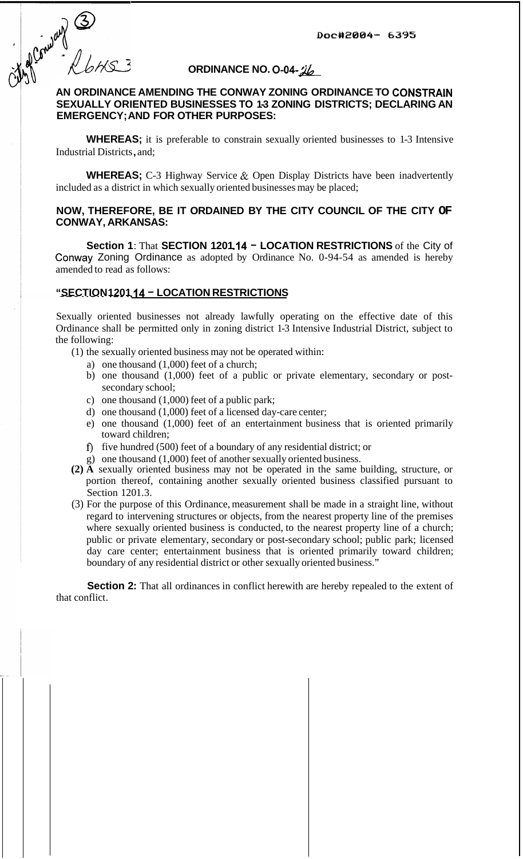of Company 3

# **ORDINANCE NO. 0-04-**  $\frac{1}{26}$

# **AN ORDINANCE AMENDING THE CONWAY ZONING ORDINANCE TO CONSTRALN EMERGENCY; AND FOR OTHER PURPOSES: SEXUALLY ORIENTED BUSINESSES TO 1-3 ZONING DISTRICTS; DECLARING AN**

**WHEREAS;** it is preferable to constrain sexually oriented businesses to 1-3 Intensive Industrial Districts , and;

**WHEREAS;** C-3 Highway Service & Open Display Districts have been inadvertently included as a district in which sexually oriented businesses may be placed;

### **NOW, THEREFORE, BE IT ORDAINED BY THE CITY COUNCIL OF THE CITY OF CONWAY, ARKANSAS:**

**Section 1:** That **SECTION 1201.14 - LOCATION RESTRICTIONS** of the City of Conway Zoning Ordinance as adopted by Ordinance No. 0-94-54 as amended is hereby amended to read as follows:

### **"SECTION 1201 .I4** - **LOCATION RESTRICTIONS**

Sexually oriented businesses not already lawfully operating on the effective date of this Ordinance shall be permitted only in zoning district 1-3 Intensive Industrial District, subject to the following:

- (1) the sexually oriented business may not be operated within:
	- a) one thousand (1,000) feet of a church;
	- b) one thousand (1,000) feet of a public or private elementary, secondary or postsecondary school;
	- c) one thousand (1,000) feet of a public park;
	- d) one thousand (1,000) feet of a licensed day-care center;
	- e) one thousand (1,000) feet of an entertainment business that is oriented primarily toward children;
	- **f)** five hundred (500) feet of a boundary of any residential district; or
	- g) one thousand (1,000) feet of another sexually oriented business.
- **(2) A** sexually oriented business may not be operated in the same building, structure, or portion thereof, containing another sexually oriented business classified pursuant to Section 1201.3.
- (3) For the purpose of this Ordinance, measurement shall be made in a straight line, without regard to intervening structures or objects, from the nearest property line of the premises where sexually oriented business is conducted, to the nearest property line of a church; public or private elementary, secondary or post-secondary school; public park; licensed day care center; entertainment business that is oriented primarily toward children; boundary of any residential district or other sexually oriented business."

**Section 2:** That all ordinances in conflict herewith are hereby repealed to the extent of that conflict.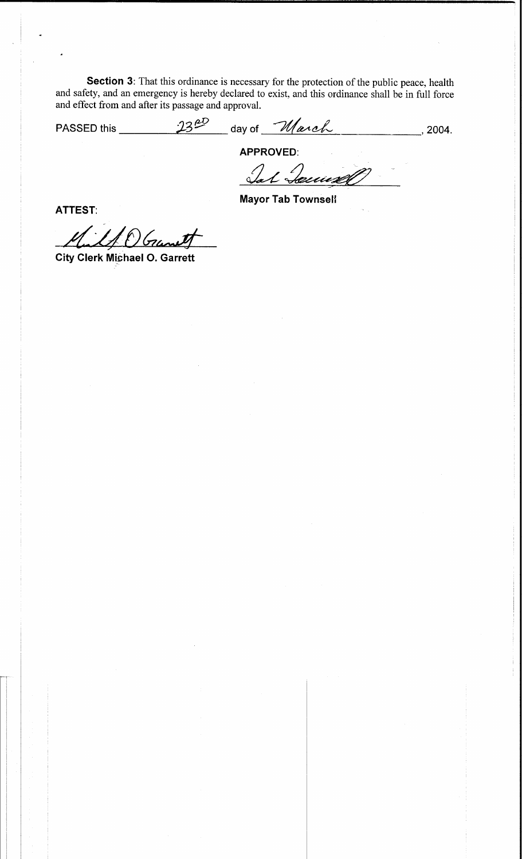Section 3: That this ordinance is necessary for the protection of the public peace, health and safety, and an emergency is hereby declared to exist, and this ordinance shall be in full force and effect from and after its passage and approval.

PASSED this  $\frac{23^{00}}{0}$  day of  $\frac{1}{2}$  day of  $\frac{1}{2}$ 

APPROVED:<br>Sal Secured

**Mayor Tab Townsell** 

**ATTEST:** 

If OGrant

**City Clerk Michael O. Garrett**